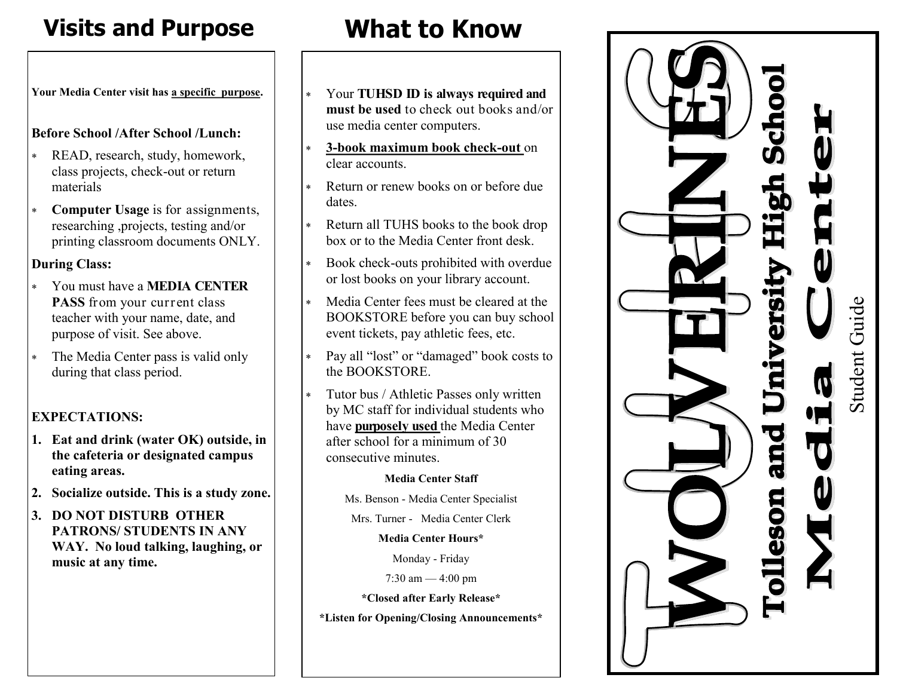## **Visits and Purpose**

**Your Media Center visit has a specific purpose .**

#### **Before School /After School /Lunch:**

- READ, research, study, homework, class projects, check -out or return materials
- **Computer Usage** is for assignments, researching ,projects, testing and/or printing classroom documents ONLY.

#### **During Class:**

- You must have a **MEDIA CENTER**  PASS from your current class teacher with your name, date, and purpose of visit. See above.
- The Media Center pass is valid only during that class period.

### **EXPECTATIONS:**

- **1. Eat and drink (water OK) outside, in the cafeteria or designated campus eating areas.**
- **2. Socialize outside. This is a study zone.**
- **3. DO NOT DISTURB OTHER PATRONS/ STUDENTS IN ANY WAY. No loud talking, laughing, or music at any time.**

# **What to Know**

- Your **TUHSD ID is always required and must be used** to check out books and/or use media center computers.
- \* **3 -book maximum book check -out** on clear accounts.
- Return or renew books on or before due dates.
- Return all TUHS books to the book drop box or to the Media Center front desk.
- Book check -outs prohibited with overdue or lost books on your library account.
- Media Center fees must be cleared at the BOOKSTORE before you can buy school event tickets, pay athletic fees, etc.
- Pay all "lost" or "damaged" book costs to the BOOKSTORE.
- Tutor bus / Athletic Passes only written by MC staff for individual students who have **purposely used** the Media Center after school for a minimum of 30 consecutive minutes.

#### **Media Center Staff**

Ms. Benson - Media Center Specialist

Mrs. Turner - Media Center Clerk

#### **Media Center Hours\***

Monday - Friday

7:30 am — 4:00 pm

**\*Closed after Early Release\*** 

**\*Listen for Opening/Closing Announcements\***